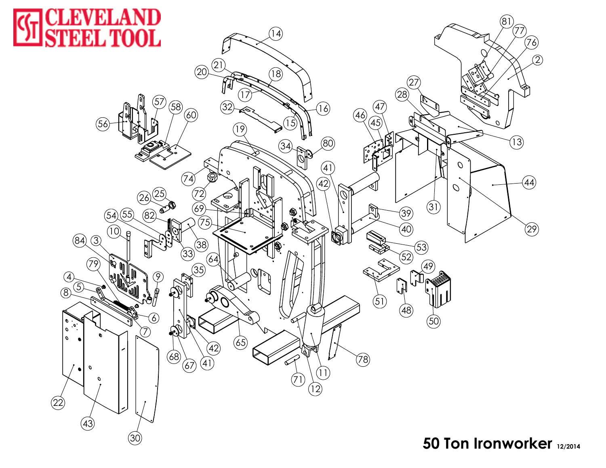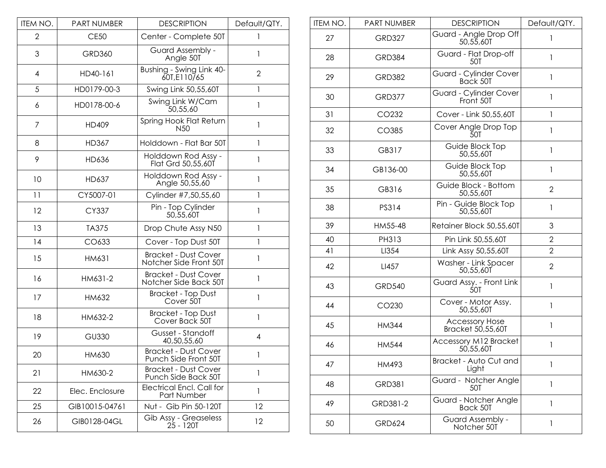| ITEM NO. | PART NUMBER     | <b>DESCRIPTION</b>                                    | Default/QTY.   |
|----------|-----------------|-------------------------------------------------------|----------------|
| 2        | <b>CE50</b>     | Center - Complete 50T                                 | 1              |
| 3        | <b>GRD360</b>   | Guard Assembly -<br>Angle 50T                         | 1              |
| 4        | HD40-161        | Bushing - Swing Link 40-<br>60T, E110/65              | $\overline{2}$ |
| 5        | HD0179-00-3     | Swing Link 50,55,60T                                  | 1              |
| 6        | HD0178-00-6     | Swing Link W/Cam<br>50,55,60                          | 1              |
| 7        | HD409           | Spring Hook Flat Return<br>N <sub>50</sub>            | 1              |
| 8        | HD367           | Holddown - Flat Bar 50T                               | 1              |
| 9        | HD636           | Holddown Rod Assy -<br>Flat Grd 50,55,60T             | 1              |
| 10       | HD637           | Holddown Rod Assy -<br>Angle 50,55,60                 | 1              |
| 11       | CY5007-01       | Cylinder #7,50,55,60                                  | 1              |
| 12       | CY337           | Pin - Top Cylinder<br>50,55,60T                       | 1              |
| 13       | <b>TA375</b>    | Drop Chute Assy N50                                   | $\mathbf{1}$   |
| 14       | CO633           | Cover - Top Dust 50T                                  | 1              |
| 15       | HM631           | <b>Bracket - Dust Cover</b><br>Notcher Side Front 50T | 1              |
| 16       | HM631-2         | <b>Bracket - Dust Cover</b><br>Notcher Side Back 50T  | 1              |
| 17       | HM632           | <b>Bracket - Top Dust</b><br>Cover 50T                | 1              |
| 18       | HM632-2         | <b>Bracket - Top Dust</b><br>Cover Back 50T           | 1              |
| 19       | <b>GU330</b>    | Gusset - Standoff<br>40,50,55,60                      | 4              |
| 20       | HM630           | <b>Bracket - Dust Cover</b><br>Punch Side Front 50T   | 1              |
| 21       | HM630-2         | <b>Bracket - Dust Cover</b><br>Punch Side Back 50T    | 1              |
| 22       | Elec. Enclosure | <b>Electrical Encl. Call for</b><br>Part Number       | 1              |
| 25       | GIB10015-04761  | Nut - Gib Pin 50-120T                                 | 12             |
| 26       | GIB0128-04GL    | Gib Assy - Greaseless<br>$25 - 120T$                  | 12             |

| ITEM NO. | <b>PART NUMBER</b> | <b>DESCRIPTION</b>                         | Default/QTY.   |
|----------|--------------------|--------------------------------------------|----------------|
| 27       | <b>GRD327</b>      | Guard - Angle Drop Off<br>50,55,60T        | 1              |
| 28       | <b>GRD384</b>      | Guard - Flat Drop-off<br>50T               | 1              |
| 29       | <b>GRD382</b>      | Guard - Cylinder Cover<br>Back 50T         | 1              |
| 30       | <b>GRD377</b>      | Guard - Cylinder Cover<br>Front 50T        | $\mathbf{1}$   |
| 31       | CO232              | Cover - Link 50,55,60T                     | $\mathbf{1}$   |
| 32       | CO385              | Cover Angle Drop Top<br>50T                | $\mathbf{1}$   |
| 33       | GB317              | Guide Block Top<br>50,55,60T               | $\mathbf{I}$   |
| 34       | GB136-00           | Guide Block Top<br>50,55,60T               | $\mathbf{1}$   |
| 35       | GB316              | Guide Block - Bottom<br>50,55,60T          | $\overline{2}$ |
| 38       | PS314              | Pin - Guide Block Top<br>50,55,60T         | $\mathbf{1}$   |
| 39       | HM55-48            | Retainer Block 50,55,60T                   | 3              |
| 40       | PH313              | Pin Link 50,55,60T                         | $\overline{2}$ |
| 41       | LI354              | Link Assy 50,55,60T                        | $\overline{2}$ |
| 42       | LI457              | Washer - Link Spacer<br>50,55,60T          | $\overline{2}$ |
| 43       | <b>GRD540</b>      | Guard Assy. - Front Link<br>50T            | $\mathbf{1}$   |
| 44       | CO230              | Cover - Motor Assy.<br>50,55,60T           | $\mathbf{1}$   |
| 45       | <b>HM344</b>       | <b>Accessory Hose</b><br>Bracket 50,55,60T | $\mathbf{1}$   |
| 46       | <b>HM544</b>       | <b>Accessory M12 Bracket</b><br>50,55,60T  | 1              |
| 47       | HM493              | Bracket - Auto Cut and<br>Light            | 1              |
| 48       | <b>GRD381</b>      | Guard - Notcher Angle<br>50T               | 1              |
| 49       | GRD381-2           | Guard - Notcher Angle<br>Back 50T          | $\mathbf{1}$   |
| 50       | <b>GRD624</b>      | Guard Assembly -<br>Notcher 50T            | $\mathbf{1}$   |
|          |                    |                                            |                |